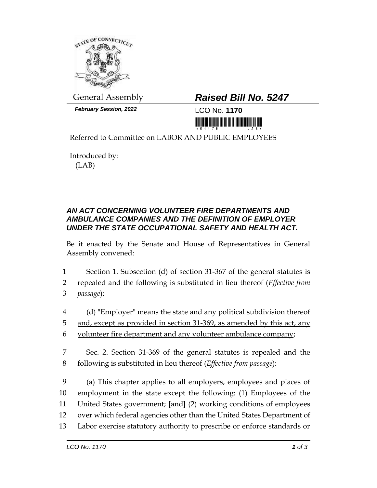

*February Session, 2022* LCO No. **1170**

## General Assembly *Raised Bill No. 5247*

<u>ni koʻlibiy ili kumanlar olib ili ili</u>

Referred to Committee on LABOR AND PUBLIC EMPLOYEES

Introduced by: (LAB)

## *AN ACT CONCERNING VOLUNTEER FIRE DEPARTMENTS AND AMBULANCE COMPANIES AND THE DEFINITION OF EMPLOYER UNDER THE STATE OCCUPATIONAL SAFETY AND HEALTH ACT.*

Be it enacted by the Senate and House of Representatives in General Assembly convened:

- 1 Section 1. Subsection (d) of section 31-367 of the general statutes is
- 2 repealed and the following is substituted in lieu thereof (*Effective from*  3 *passage*):
- 4 (d) "Employer" means the state and any political subdivision thereof
- 5 and, except as provided in section 31-369, as amended by this act, any
- 6 volunteer fire department and any volunteer ambulance company;
- 7 Sec. 2. Section 31-369 of the general statutes is repealed and the 8 following is substituted in lieu thereof (*Effective from passage*):
- 9 (a) This chapter applies to all employers, employees and places of 10 employment in the state except the following: (1) Employees of the 11 United States government; **[**and**]** (2) working conditions of employees 12 over which federal agencies other than the United States Department of 13 Labor exercise statutory authority to prescribe or enforce standards or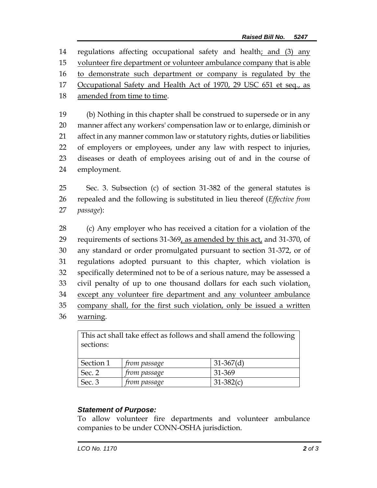regulations affecting occupational safety and health; and (3) any volunteer fire department or volunteer ambulance company that is able 16 to demonstrate such department or company is regulated by the 17 Occupational Safety and Health Act of 1970, 29 USC 651 et seq., as amended from time to time. (b) Nothing in this chapter shall be construed to supersede or in any

 manner affect any workers' compensation law or to enlarge, diminish or affect in any manner common law or statutory rights, duties or liabilities of employers or employees, under any law with respect to injuries, diseases or death of employees arising out of and in the course of employment.

25 Sec. 3. Subsection (c) of section 31-382 of the general statutes is 26 repealed and the following is substituted in lieu thereof (*Effective from*  27 *passage*):

 (c) Any employer who has received a citation for a violation of the 29 requirements of sections 31-369, as amended by this act, and 31-370, of any standard or order promulgated pursuant to section 31-372, or of regulations adopted pursuant to this chapter, which violation is specifically determined not to be of a serious nature, may be assessed a civil penalty of up to one thousand dollars for each such violation, 34 except any volunteer fire department and any volunteer ambulance company shall, for the first such violation, only be issued a written 36 warning.

This act shall take effect as follows and shall amend the following sections: Section 1 *from passage* 31-367(d) Sec. 2 *from passage* 31-369 Sec. 3 *from passage* 31-382(c)

## *Statement of Purpose:*

To allow volunteer fire departments and volunteer ambulance companies to be under CONN-OSHA jurisdiction.